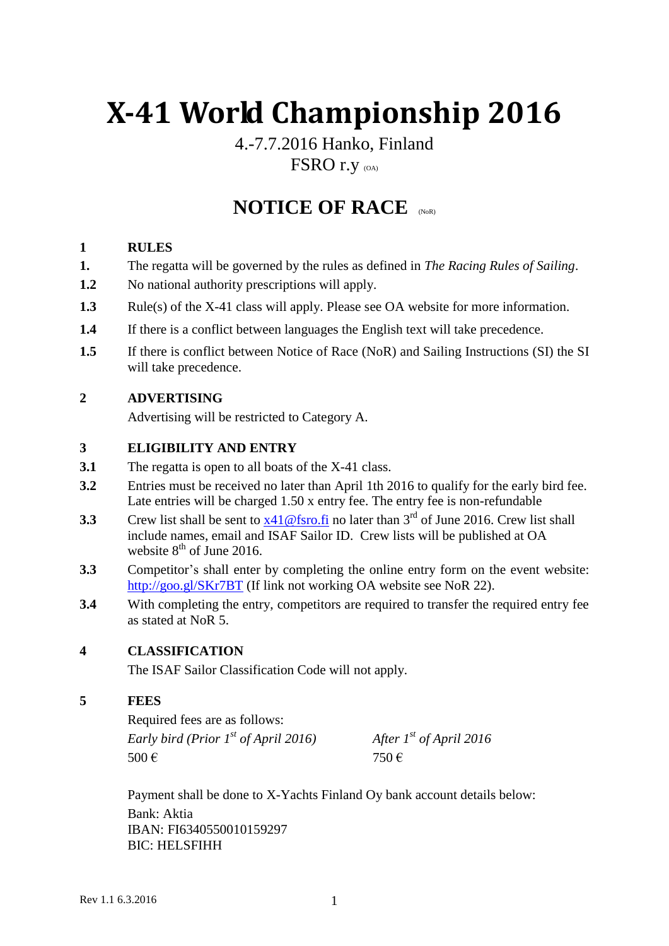# **X-41 World Championship 2016**

### 4.-7.7.2016 Hanko, Finland FSRO r.y (OA)

## **NOTICE OF RACE**

#### **1 RULES**

- **1.** The regatta will be governed by the rules as defined in *The Racing Rules of Sailing*.
- **1.2** No national authority prescriptions will apply.
- **1.3** Rule(s) of the X-41 class will apply. Please see OA website for more information.
- **1.4** If there is a conflict between languages the English text will take precedence.
- **1.5** If there is conflict between Notice of Race (NoR) and Sailing Instructions (SI) the SI will take precedence.

#### **2 ADVERTISING**

Advertising will be restricted to Category A.

#### **3 ELIGIBILITY AND ENTRY**

- **3.1** The regatta is open to all boats of the X-41 class.
- **3.2** Entries must be received no later than April 1th 2016 to qualify for the early bird fee. Late entries will be charged 1.50 x entry fee. The entry fee is non-refundable
- **3.3** Crew list shall be sent to  $x41@$  fsro.fi no later than  $3<sup>rd</sup>$  of June 2016. Crew list shall include names, email and ISAF Sailor ID. Crew lists will be published at OA website  $8<sup>th</sup>$  of June 2016.
- **3.3** Competitor's shall enter by completing the online entry form on the event website: <http://goo.gl/SKr7BT> (If link not working OA website see NoR 22).
- **3.4** With completing the entry, competitors are required to transfer the required entry fee as stated at NoR 5.

#### **4 CLASSIFICATION**

The ISAF Sailor Classification Code will not apply.

#### **5 FEES**

Required fees are as follows: *Early bird (Prior 1st of April 2016) After 1st of April 2016* 500 € 750 €

Payment shall be done to X-Yachts Finland Oy bank account details below: Bank: Aktia IBAN: FI6340550010159297 BIC: HELSFIHH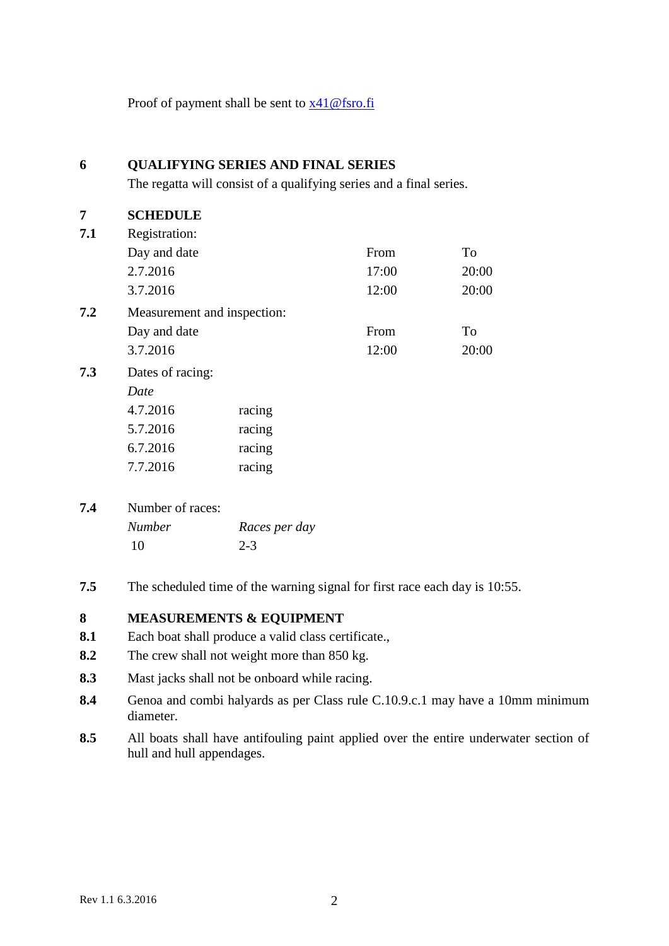Proof of payment shall be sent to  $x41@$  fsro.fi

| 6   | <b>QUALIFYING SERIES AND FINAL SERIES</b><br>The regatta will consist of a qualifying series and a final series. |               |       |       |
|-----|------------------------------------------------------------------------------------------------------------------|---------------|-------|-------|
|     |                                                                                                                  |               |       |       |
| 7   | <b>SCHEDULE</b>                                                                                                  |               |       |       |
| 7.1 | Registration:                                                                                                    |               |       |       |
|     | Day and date                                                                                                     |               | From  | To    |
|     | 2.7.2016                                                                                                         |               | 17:00 | 20:00 |
|     | 3.7.2016                                                                                                         |               | 12:00 | 20:00 |
| 7.2 | Measurement and inspection:                                                                                      |               |       |       |
|     | Day and date                                                                                                     |               | From  | To    |
|     | 3.7.2016                                                                                                         |               | 12:00 | 20:00 |
| 7.3 | Dates of racing:                                                                                                 |               |       |       |
|     | Date                                                                                                             |               |       |       |
|     | 4.7.2016                                                                                                         | racing        |       |       |
|     | 5.7.2016                                                                                                         | racing        |       |       |
|     | 6.7.2016                                                                                                         | racing        |       |       |
|     | 7.7.2016                                                                                                         | racing        |       |       |
| 7.4 | Number of races:                                                                                                 |               |       |       |
|     | <b>Number</b>                                                                                                    | Races per day |       |       |
|     | 10                                                                                                               | $2 - 3$       |       |       |
|     |                                                                                                                  |               |       |       |

**7.5** The scheduled time of the warning signal for first race each day is 10:55.

#### **8 MEASUREMENTS & EQUIPMENT**

- **8.1** Each boat shall produce a valid class certificate.,
- **8.2** The crew shall not weight more than 850 kg.
- **8.3** Mast jacks shall not be onboard while racing.
- **8.4** Genoa and combi halyards as per Class rule C.10.9.c.1 may have a 10mm minimum diameter.
- **8.5** All boats shall have antifouling paint applied over the entire underwater section of hull and hull appendages.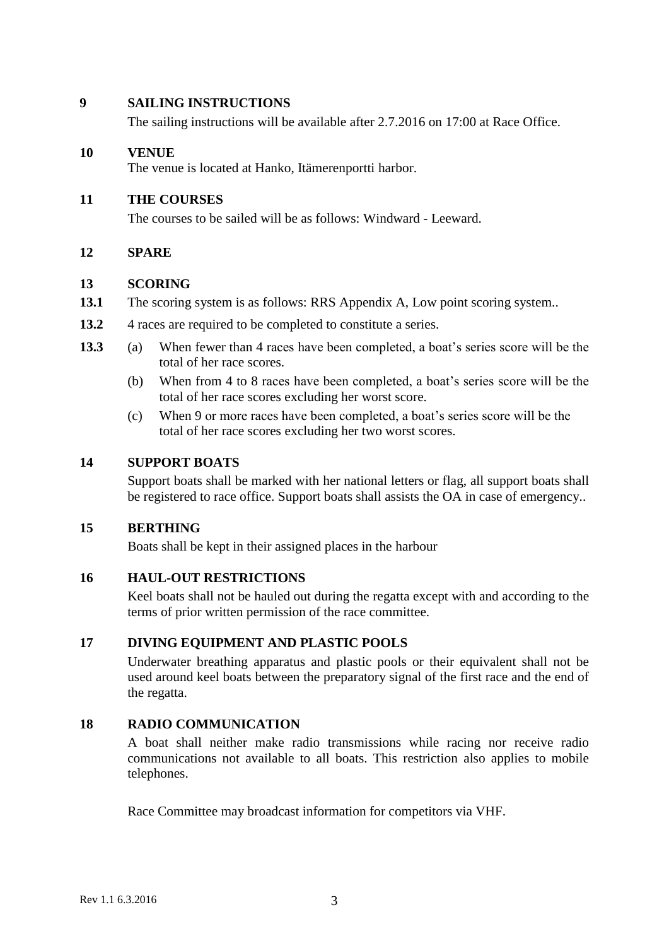#### **9 SAILING INSTRUCTIONS**

The sailing instructions will be available after 2.7.2016 on 17:00 at Race Office.

#### **10 VENUE**

The venue is located at Hanko, Itämerenportti harbor.

#### **11 THE COURSES**

The courses to be sailed will be as follows: Windward - Leeward.

#### **12 SPARE**

#### **13 SCORING**

- **13.1** The scoring system is as follows: RRS Appendix A, Low point scoring system..
- 13.2 4 races are required to be completed to constitute a series.
- **13.3** (a) When fewer than 4 races have been completed, a boat's series score will be the total of her race scores.
	- (b) When from 4 to 8 races have been completed, a boat's series score will be the total of her race scores excluding her worst score.
	- (c) When 9 or more races have been completed, a boat's series score will be the total of her race scores excluding her two worst scores.

#### **14 SUPPORT BOATS**

Support boats shall be marked with her national letters or flag, all support boats shall be registered to race office. Support boats shall assists the OA in case of emergency..

#### **15 BERTHING**

Boats shall be kept in their assigned places in the harbour

#### **16 HAUL-OUT RESTRICTIONS**

Keel boats shall not be hauled out during the regatta except with and according to the terms of prior written permission of the race committee.

#### **17 DIVING EQUIPMENT AND PLASTIC POOLS**

Underwater breathing apparatus and plastic pools or their equivalent shall not be used around keel boats between the preparatory signal of the first race and the end of the regatta.

#### **18 RADIO COMMUNICATION**

A boat shall neither make radio transmissions while racing nor receive radio communications not available to all boats. This restriction also applies to mobile telephones.

Race Committee may broadcast information for competitors via VHF.